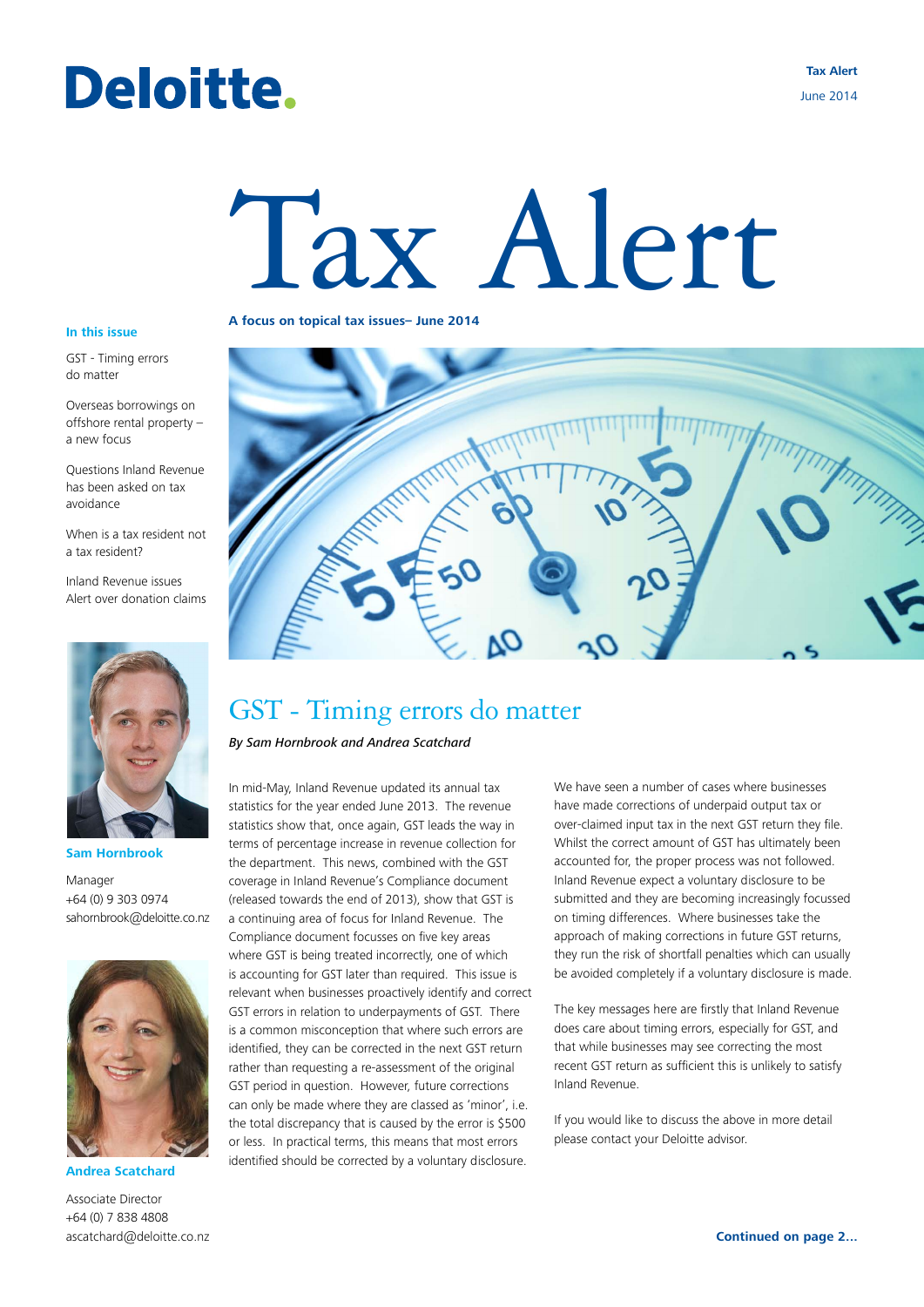## Deloitte.

**Tax Alert** June 2014

# Tax Alert

#### **In this issue**

GST - Timing errors do matter

Overseas borrowings on offshore rental property – a new focus

Questions Inland Revenue has been asked on tax avoidance

When is a tax resident not a tax resident?

Inland Revenue issues Alert over donation claims



**Sam Hornbrook**

Manager +64 (0) 9 303 0974 sahornbrook@deloitte.co.nz



**Andrea Scatchard**

Associate Director +64 (0) 7 838 4808 ascatchard@deloitte.co.nz

#### **A focus on topical tax issues– June 2014**



## GST - Timing errors do matter

*By Sam Hornbrook and Andrea Scatchard*

In mid-May, Inland Revenue updated its annual tax statistics for the year ended June 2013. The revenue statistics show that, once again, GST leads the way in terms of percentage increase in revenue collection for the department. This news, combined with the GST coverage in Inland Revenue's Compliance document (released towards the end of 2013), show that GST is a continuing area of focus for Inland Revenue. The Compliance document focusses on five key areas where GST is being treated incorrectly, one of which is accounting for GST later than required. This issue is relevant when businesses proactively identify and correct GST errors in relation to underpayments of GST. There is a common misconception that where such errors are identified, they can be corrected in the next GST return rather than requesting a re-assessment of the original GST period in question. However, future corrections can only be made where they are classed as 'minor', i.e. the total discrepancy that is caused by the error is \$500 or less. In practical terms, this means that most errors identified should be corrected by a voluntary disclosure.

We have seen a number of cases where businesses have made corrections of underpaid output tax or over-claimed input tax in the next GST return they file. Whilst the correct amount of GST has ultimately been accounted for, the proper process was not followed. Inland Revenue expect a voluntary disclosure to be submitted and they are becoming increasingly focussed on timing differences. Where businesses take the approach of making corrections in future GST returns, they run the risk of shortfall penalties which can usually be avoided completely if a voluntary disclosure is made.

The key messages here are firstly that Inland Revenue does care about timing errors, especially for GST, and that while businesses may see correcting the most recent GST return as sufficient this is unlikely to satisfy Inland Revenue.

If you would like to discuss the above in more detail please contact your Deloitte advisor.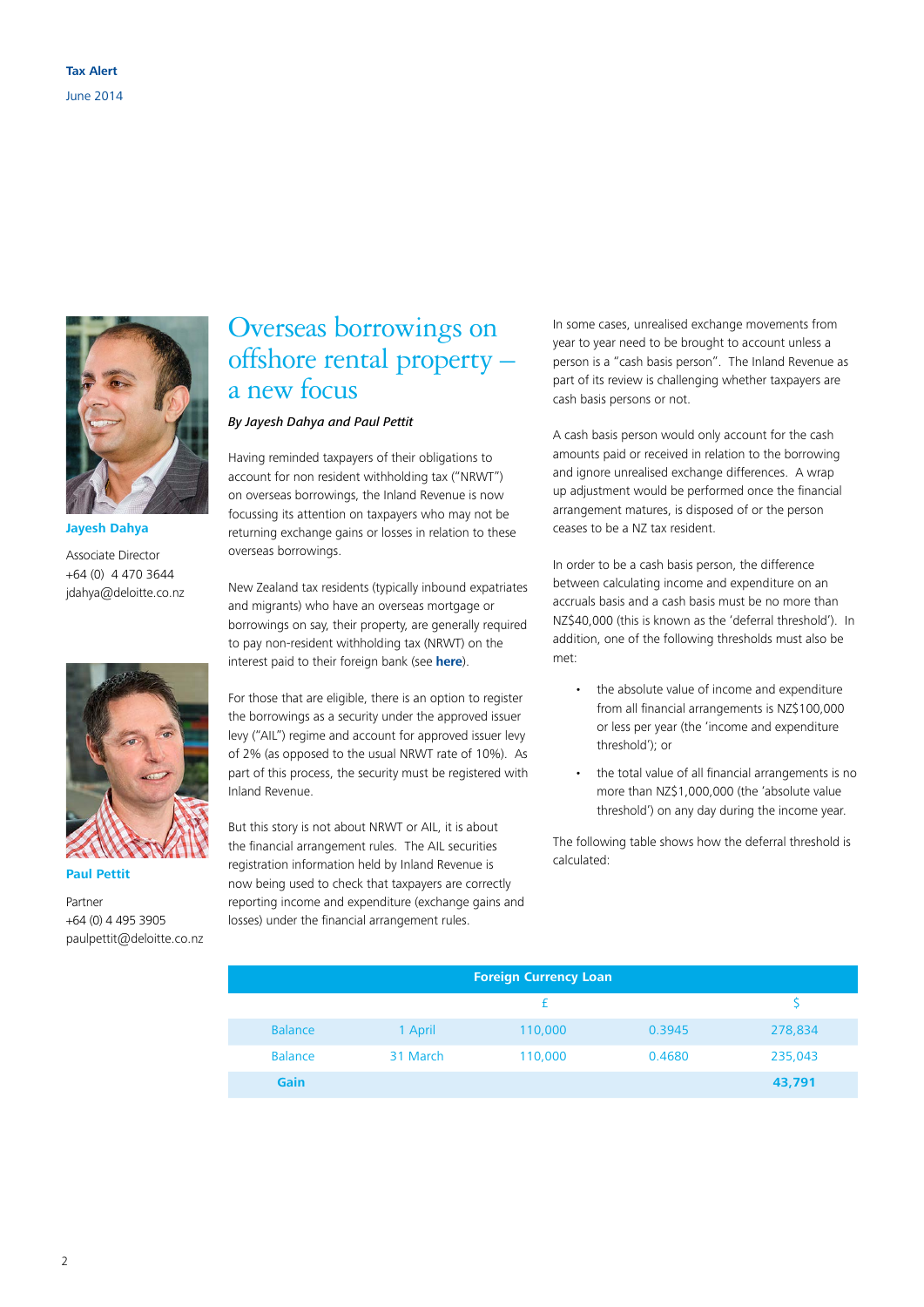

#### **Jayesh Dahya**

Associate Director +64 (0) 4 470 3644 jdahya@deloitte.co.nz



**Paul Pettit**

Partner +64 (0) 4 495 3905 paulpettit@deloitte.co.nz

## Overseas borrowings on offshore rental property – a new focus

#### *By Jayesh Dahya and Paul Pettit*

Having reminded taxpayers of their obligations to account for non resident withholding tax ("NRWT") on overseas borrowings, the Inland Revenue is now focussing its attention on taxpayers who may not be returning exchange gains or losses in relation to these overseas borrowings.

New Zealand tax residents (typically inbound expatriates and migrants) who have an overseas mortgage or borrowings on say, their property, are generally required to pay non-resident withholding tax (NRWT) on the interest paid to their foreign bank (see **[here](http://www.ird.govt.nz/international/nzwithos/investments/)**).

For those that are eligible, there is an option to register the borrowings as a security under the approved issuer levy ("AIL") regime and account for approved issuer levy of 2% (as opposed to the usual NRWT rate of 10%). As part of this process, the security must be registered with Inland Revenue.

But this story is not about NRWT or AIL, it is about the financial arrangement rules. The AIL securities registration information held by Inland Revenue is now being used to check that taxpayers are correctly reporting income and expenditure (exchange gains and losses) under the financial arrangement rules.

In some cases, unrealised exchange movements from year to year need to be brought to account unless a person is a "cash basis person". The Inland Revenue as part of its review is challenging whether taxpayers are cash basis persons or not.

A cash basis person would only account for the cash amounts paid or received in relation to the borrowing and ignore unrealised exchange differences. A wrap up adjustment would be performed once the financial arrangement matures, is disposed of or the person ceases to be a NZ tax resident.

In order to be a cash basis person, the difference between calculating income and expenditure on an accruals basis and a cash basis must be no more than NZ\$40,000 (this is known as the 'deferral threshold'). In addition, one of the following thresholds must also be met:

- the absolute value of income and expenditure from all financial arrangements is NZ\$100,000 or less per year (the 'income and expenditure threshold'); or
- the total value of all financial arrangements is no more than NZ\$1,000,000 (the 'absolute value threshold') on any day during the income year.

The following table shows how the deferral threshold is calculated:

| <b>Foreign Currency Loan</b> |          |         |        |         |
|------------------------------|----------|---------|--------|---------|
|                              |          |         |        |         |
| <b>Balance</b>               | 1 April  | 110,000 | 0.3945 | 278,834 |
| <b>Balance</b>               | 31 March | 110,000 | 0.4680 | 235,043 |
| <b>Gain</b>                  |          |         |        | 43,791  |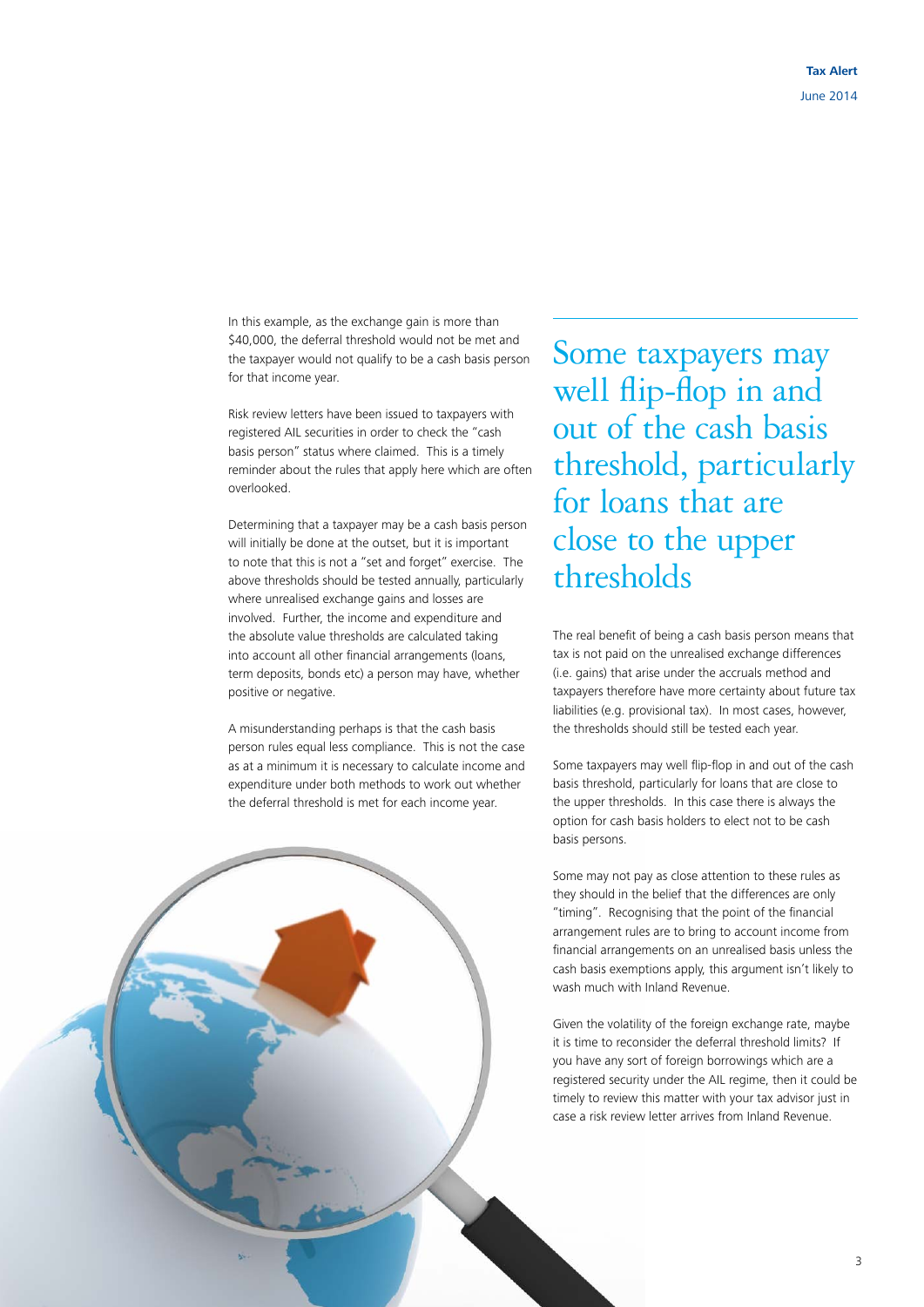In this example, as the exchange gain is more than \$40,000, the deferral threshold would not be met and the taxpayer would not qualify to be a cash basis person for that income year.

Risk review letters have been issued to taxpayers with registered AIL securities in order to check the "cash basis person" status where claimed. This is a timely reminder about the rules that apply here which are often overlooked.

Determining that a taxpayer may be a cash basis person will initially be done at the outset, but it is important to note that this is not a "set and forget" exercise. The above thresholds should be tested annually, particularly where unrealised exchange gains and losses are involved. Further, the income and expenditure and the absolute value thresholds are calculated taking into account all other financial arrangements (loans, term deposits, bonds etc) a person may have, whether positive or negative.

A misunderstanding perhaps is that the cash basis person rules equal less compliance. This is not the case as at a minimum it is necessary to calculate income and expenditure under both methods to work out whether the deferral threshold is met for each income year.

Some taxpayers may well flip-flop in and out of the cash basis threshold, particularly for loans that are close to the upper thresholds

The real benefit of being a cash basis person means that tax is not paid on the unrealised exchange differences (i.e. gains) that arise under the accruals method and taxpayers therefore have more certainty about future tax liabilities (e.g. provisional tax). In most cases, however, the thresholds should still be tested each year.

Some taxpayers may well flip-flop in and out of the cash basis threshold, particularly for loans that are close to the upper thresholds. In this case there is always the option for cash basis holders to elect not to be cash basis persons.

Some may not pay as close attention to these rules as they should in the belief that the differences are only "timing". Recognising that the point of the financial arrangement rules are to bring to account income from financial arrangements on an unrealised basis unless the cash basis exemptions apply, this argument isn't likely to wash much with Inland Revenue.

Given the volatility of the foreign exchange rate, maybe it is time to reconsider the deferral threshold limits? If you have any sort of foreign borrowings which are a registered security under the AIL regime, then it could be timely to review this matter with your tax advisor just in case a risk review letter arrives from Inland Revenue.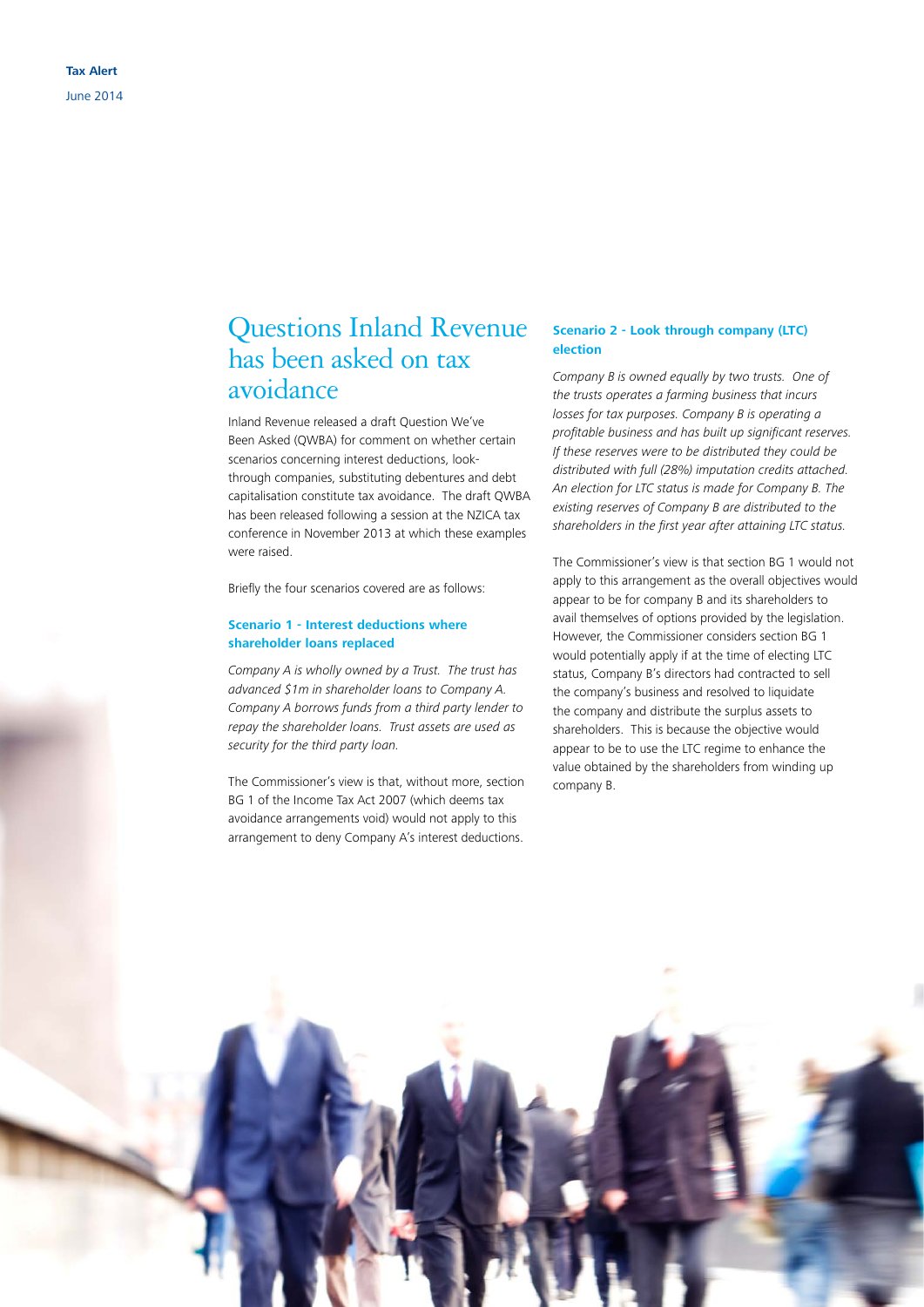## Questions Inland Revenue has been asked on tax avoidance

Inland Revenue released a draft Question We've Been Asked (QWBA) for comment on whether certain scenarios concerning interest deductions, lookthrough companies, substituting debentures and debt capitalisation constitute tax avoidance. The draft QWBA has been released following a session at the NZICA tax conference in November 2013 at which these examples were raised.

Briefly the four scenarios covered are as follows:

#### **Scenario 1 - Interest deductions where shareholder loans replaced**

*Company A is wholly owned by a Trust. The trust has advanced \$1m in shareholder loans to Company A. Company A borrows funds from a third party lender to repay the shareholder loans. Trust assets are used as security for the third party loan.* 

The Commissioner's view is that, without more, section BG 1 of the Income Tax Act 2007 (which deems tax avoidance arrangements void) would not apply to this arrangement to deny Company A's interest deductions.

#### **Scenario 2 - Look through company (LTC) election**

*Company B is owned equally by two trusts. One of the trusts operates a farming business that incurs losses for tax purposes. Company B is operating a profitable business and has built up significant reserves. If these reserves were to be distributed they could be distributed with full (28%) imputation credits attached. An election for LTC status is made for Company B. The existing reserves of Company B are distributed to the shareholders in the first year after attaining LTC status.*

The Commissioner's view is that section BG 1 would not apply to this arrangement as the overall objectives would appear to be for company B and its shareholders to avail themselves of options provided by the legislation. However, the Commissioner considers section BG 1 would potentially apply if at the time of electing LTC status, Company B's directors had contracted to sell the company's business and resolved to liquidate the company and distribute the surplus assets to shareholders. This is because the objective would appear to be to use the LTC regime to enhance the value obtained by the shareholders from winding up company B.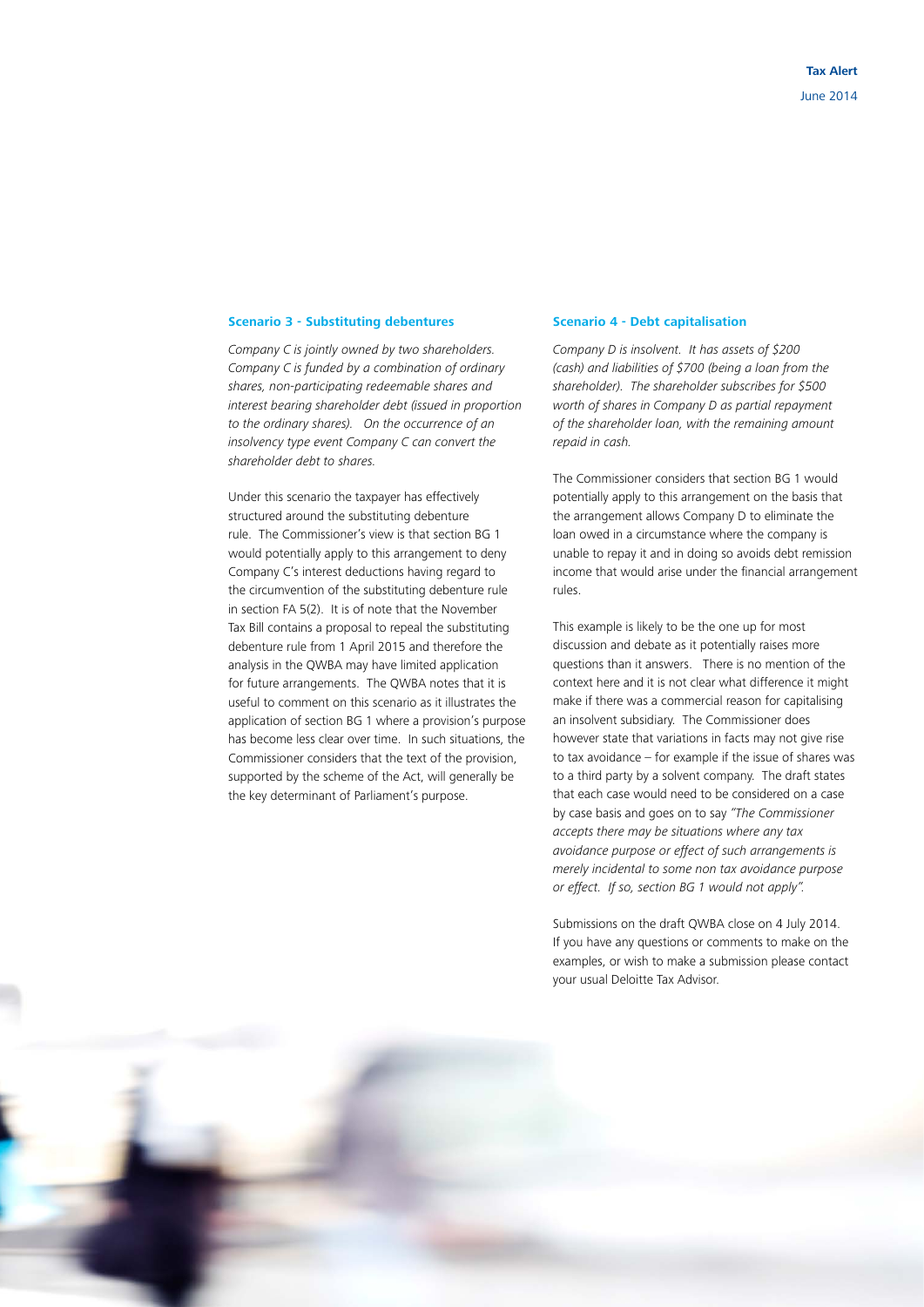#### **Scenario 3 - Substituting debentures**

*Company C is jointly owned by two shareholders. Company C is funded by a combination of ordinary shares, non-participating redeemable shares and interest bearing shareholder debt (issued in proportion to the ordinary shares). On the occurrence of an insolvency type event Company C can convert the shareholder debt to shares.*

Under this scenario the taxpayer has effectively structured around the substituting debenture rule. The Commissioner's view is that section BG 1 would potentially apply to this arrangement to deny Company C's interest deductions having regard to the circumvention of the substituting debenture rule in section FA 5(2). It is of note that the November Tax Bill contains a proposal to repeal the substituting debenture rule from 1 April 2015 and therefore the analysis in the QWBA may have limited application for future arrangements. The QWBA notes that it is useful to comment on this scenario as it illustrates the application of section BG 1 where a provision's purpose has become less clear over time. In such situations, the Commissioner considers that the text of the provision, supported by the scheme of the Act, will generally be the key determinant of Parliament's purpose.

#### **Scenario 4 - Debt capitalisation**

*Company D is insolvent. It has assets of \$200 (cash) and liabilities of \$700 (being a loan from the shareholder). The shareholder subscribes for \$500 worth of shares in Company D as partial repayment of the shareholder loan, with the remaining amount repaid in cash.*

The Commissioner considers that section BG 1 would potentially apply to this arrangement on the basis that the arrangement allows Company D to eliminate the loan owed in a circumstance where the company is unable to repay it and in doing so avoids debt remission income that would arise under the financial arrangement rules.

This example is likely to be the one up for most discussion and debate as it potentially raises more questions than it answers. There is no mention of the context here and it is not clear what difference it might make if there was a commercial reason for capitalising an insolvent subsidiary. The Commissioner does however state that variations in facts may not give rise to tax avoidance – for example if the issue of shares was to a third party by a solvent company. The draft states that each case would need to be considered on a case by case basis and goes on to say *"The Commissioner accepts there may be situations where any tax avoidance purpose or effect of such arrangements is merely incidental to some non tax avoidance purpose or effect. If so, section BG 1 would not apply".* 

Submissions on the draft QWBA close on 4 July 2014. If you have any questions or comments to make on the examples, or wish to make a submission please contact your usual Deloitte Tax Advisor.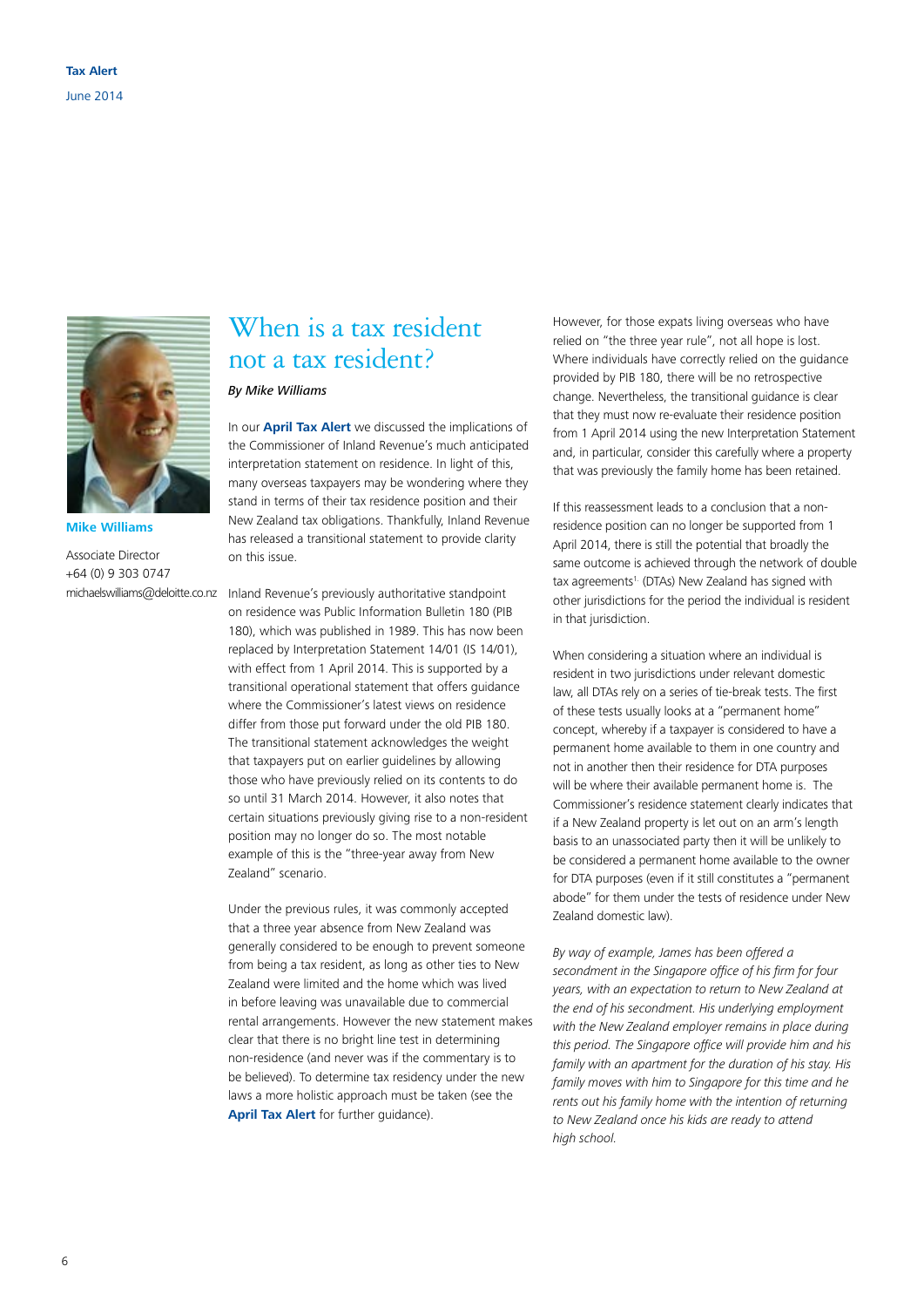

**Mike Williams**

Associate Director +64 (0) 9 303 0747 michaelswilliams@deloitte.co.nz

### When is a tax resident not a tax resident?

#### *By Mike Williams*

In our **[April Tax Alert](https://www.deloitte.com/view/en_NZ/nz/services/tax-services/af65efb2e8925410VgnVCM1000003256f70aRCRD.htm)** we discussed the implications of the Commissioner of Inland Revenue's much anticipated interpretation statement on residence. In light of this, many overseas taxpayers may be wondering where they stand in terms of their tax residence position and their New Zealand tax obligations. Thankfully, Inland Revenue has released a transitional statement to provide clarity on this issue.

Inland Revenue's previously authoritative standpoint on residence was Public Information Bulletin 180 (PIB 180), which was published in 1989. This has now been replaced by Interpretation Statement 14/01 (IS 14/01), with effect from 1 April 2014. This is supported by a transitional operational statement that offers guidance where the Commissioner's latest views on residence differ from those put forward under the old PIB 180. The transitional statement acknowledges the weight that taxpayers put on earlier guidelines by allowing those who have previously relied on its contents to do so until 31 March 2014. However, it also notes that certain situations previously giving rise to a non-resident position may no longer do so. The most notable example of this is the "three-year away from New Zealand" scenario.

Under the previous rules, it was commonly accepted that a three year absence from New Zealand was generally considered to be enough to prevent someone from being a tax resident, as long as other ties to New Zealand were limited and the home which was lived in before leaving was unavailable due to commercial rental arrangements. However the new statement makes clear that there is no bright line test in determining non-residence (and never was if the commentary is to be believed). To determine tax residency under the new laws a more holistic approach must be taken (see the **[April Tax Alert](https://www.deloitte.com/view/en_NZ/nz/services/tax-services/af65efb2e8925410VgnVCM1000003256f70aRCRD.htm)** for further quidance).

However, for those expats living overseas who have relied on "the three year rule", not all hope is lost. Where individuals have correctly relied on the guidance provided by PIB 180, there will be no retrospective change. Nevertheless, the transitional guidance is clear that they must now re-evaluate their residence position from 1 April 2014 using the new Interpretation Statement and, in particular, consider this carefully where a property that was previously the family home has been retained.

If this reassessment leads to a conclusion that a nonresidence position can no longer be supported from 1 April 2014, there is still the potential that broadly the same outcome is achieved through the network of double tax agreements<sup>1.</sup> (DTAs) New Zealand has signed with other jurisdictions for the period the individual is resident in that jurisdiction.

When considering a situation where an individual is resident in two jurisdictions under relevant domestic law, all DTAs rely on a series of tie-break tests. The first of these tests usually looks at a "permanent home" concept, whereby if a taxpayer is considered to have a permanent home available to them in one country and not in another then their residence for DTA purposes will be where their available permanent home is. The Commissioner's residence statement clearly indicates that if a New Zealand property is let out on an arm's length basis to an unassociated party then it will be unlikely to be considered a permanent home available to the owner for DTA purposes (even if it still constitutes a "permanent abode" for them under the tests of residence under New Zealand domestic law).

*By way of example, James has been offered a secondment in the Singapore office of his firm for four years, with an expectation to return to New Zealand at the end of his secondment. His underlying employment with the New Zealand employer remains in place during this period. The Singapore office will provide him and his family with an apartment for the duration of his stay. His family moves with him to Singapore for this time and he rents out his family home with the intention of returning to New Zealand once his kids are ready to attend high school.*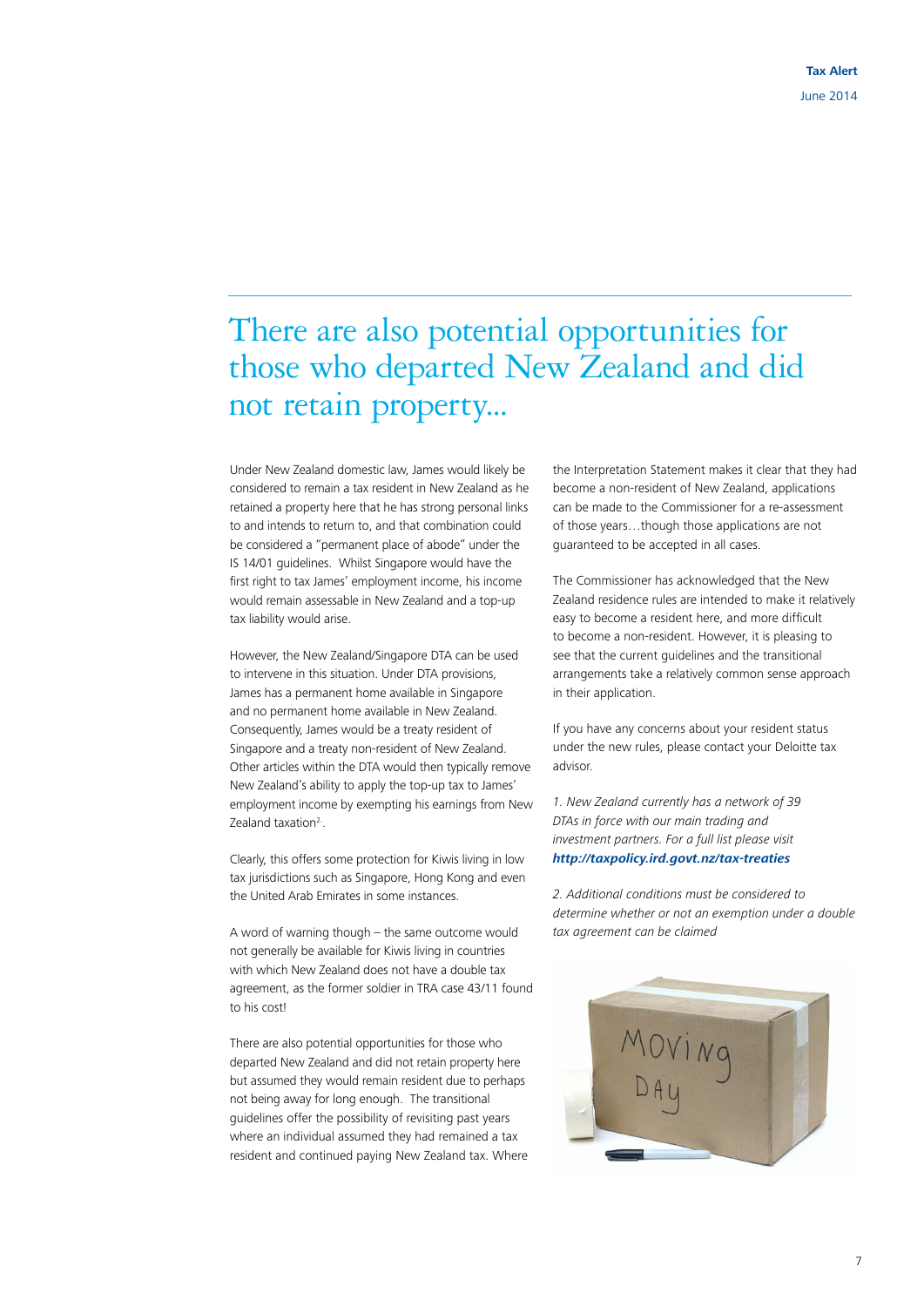## There are also potential opportunities for those who departed New Zealand and did not retain property...

Under New Zealand domestic law, James would likely be considered to remain a tax resident in New Zealand as he retained a property here that he has strong personal links to and intends to return to, and that combination could be considered a "permanent place of abode" under the IS 14/01 guidelines. Whilst Singapore would have the first right to tax James' employment income, his income would remain assessable in New Zealand and a top-up tax liability would arise.

However, the New Zealand/Singapore DTA can be used to intervene in this situation. Under DTA provisions, James has a permanent home available in Singapore and no permanent home available in New Zealand. Consequently, James would be a treaty resident of Singapore and a treaty non-resident of New Zealand. Other articles within the DTA would then typically remove New Zealand's ability to apply the top-up tax to James' employment income by exempting his earnings from New Zealand taxation<sup>2</sup>.

Clearly, this offers some protection for Kiwis living in low tax jurisdictions such as Singapore, Hong Kong and even the United Arab Emirates in some instances.

A word of warning though – the same outcome would not generally be available for Kiwis living in countries with which New Zealand does not have a double tax agreement, as the former soldier in TRA case 43/11 found to his cost!

There are also potential opportunities for those who departed New Zealand and did not retain property here but assumed they would remain resident due to perhaps not being away for long enough. The transitional guidelines offer the possibility of revisiting past years where an individual assumed they had remained a tax resident and continued paying New Zealand tax. Where the Interpretation Statement makes it clear that they had become a non-resident of New Zealand, applications can be made to the Commissioner for a re-assessment of those years…though those applications are not guaranteed to be accepted in all cases.

The Commissioner has acknowledged that the New Zealand residence rules are intended to make it relatively easy to become a resident here, and more difficult to become a non-resident. However, it is pleasing to see that the current guidelines and the transitional arrangements take a relatively common sense approach in their application.

If you have any concerns about your resident status under the new rules, please contact your Deloitte tax advisor.

*1. New Zealand currently has a network of 39 DTAs in force with our main trading and investment partners. For a full list please visit <http://taxpolicy.ird.govt.nz/tax-treaties>*

*2. Additional conditions must be considered to determine whether or not an exemption under a double tax agreement can be claimed*